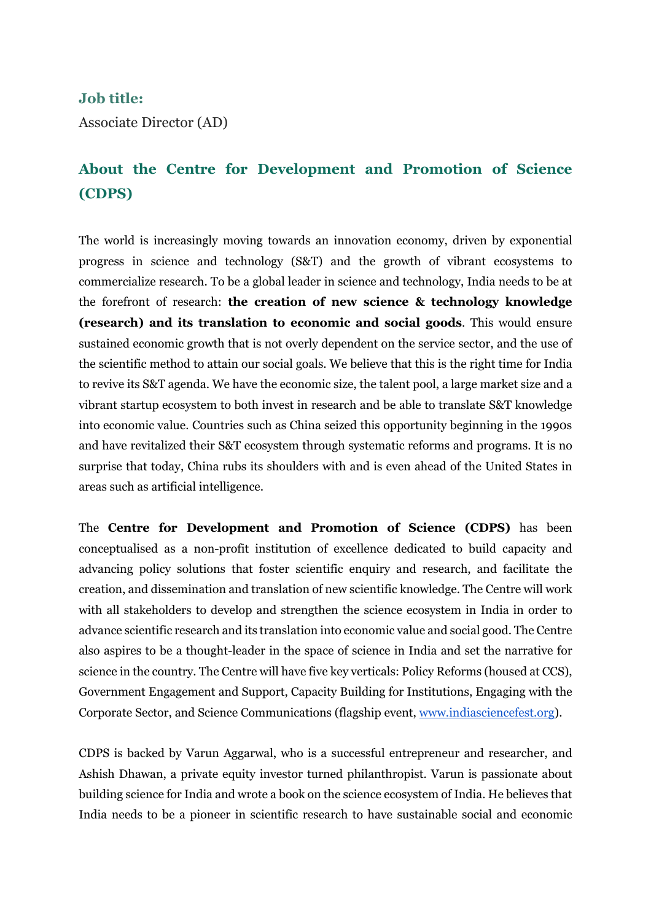#### **Job title:**

Associate Director (AD)

# **About the Centre for Development and Promotion of Science (CDPS)**

The world is increasingly moving towards an innovation economy, driven by exponential progress in science and technology (S&T) and the growth of vibrant ecosystems to commercialize research. To be a global leader in science and technology, India needs to be at the forefront of research: **the creation of new science & technology knowledge (research) and its translation to economic and social goods**. This would ensure sustained economic growth that is not overly dependent on the service sector, and the use of the scientific method to attain our social goals. We believe that this is the right time for India to revive its S&T agenda. We have the economic size, the talent pool, a large market size and a vibrant startup ecosystem to both invest in research and be able to translate S&T knowledge into economic value. Countries such as China seized this opportunity beginning in the 1990s and have revitalized their S&T ecosystem through systematic reforms and programs. It is no surprise that today, China rubs its shoulders with and is even ahead of the United States in areas such as artificial intelligence.

The **Centre for Development and Promotion of Science (CDPS)** has been conceptualised as a non-profit institution of excellence dedicated to build capacity and advancing policy solutions that foster scientific enquiry and research, and facilitate the creation, and dissemination and translation of new scientific knowledge. The Centre will work with all stakeholders to develop and strengthen the science ecosystem in India in order to advance scientific research and its translation into economic value and social good. The Centre also aspires to be a thought-leader in the space of science in India and set the narrative for science in the country. The Centre will have five key verticals: Policy Reforms (housed at CCS), Government Engagement and Support, Capacity Building for Institutions, Engaging with the Corporate Sector, and Science Communications (flagship event, www.indiasciencefest.org).

CDPS is backed by Varun Aggarwal, who is a successful entrepreneur and researcher, and Ashish Dhawan, a private equity investor turned philanthropist. Varun is passionate about building science for India and wrote a book on the science ecosystem of India. He believes that India needs to be a pioneer in scientific research to have sustainable social and economic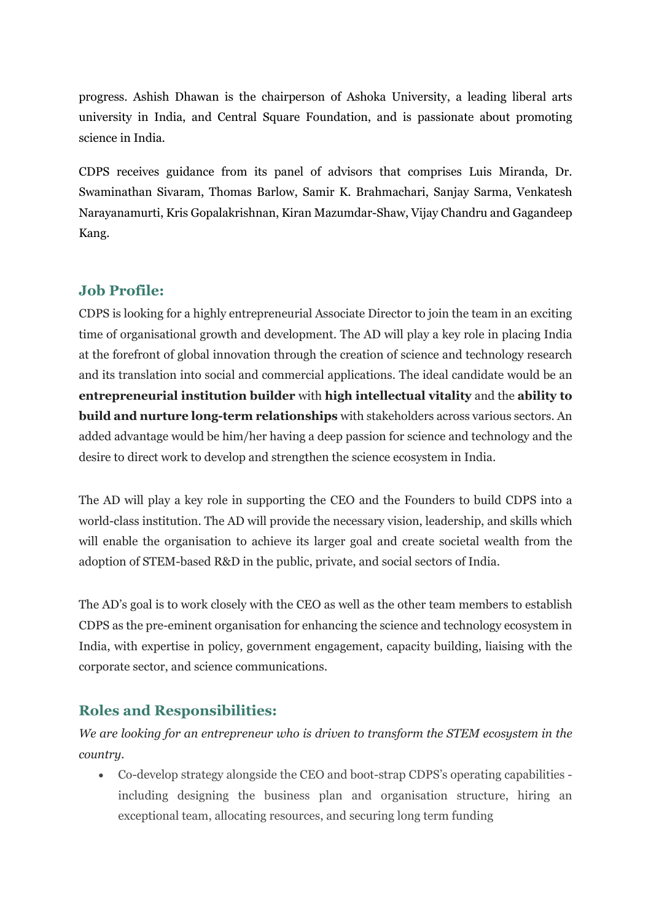progress. Ashish Dhawan is the chairperson of Ashoka University, a leading liberal arts university in India, and Central Square Foundation, and is passionate about promoting science in India.

CDPS receives guidance from its panel of advisors that comprises Luis Miranda, Dr. Swaminathan Sivaram, Thomas Barlow, Samir K. Brahmachari, Sanjay Sarma, Venkatesh Narayanamurti, Kris Gopalakrishnan, Kiran Mazumdar-Shaw, Vijay Chandru and Gagandeep Kang.

#### **Job Profile:**

CDPS is looking for a highly entrepreneurial Associate Director to join the team in an exciting time of organisational growth and development. The AD will play a key role in placing India at the forefront of global innovation through the creation of science and technology research and its translation into social and commercial applications. The ideal candidate would be an **entrepreneurial institution builder** with **high intellectual vitality** and the **ability to build and nurture long-term relationships** with stakeholders across various sectors. An added advantage would be him/her having a deep passion for science and technology and the desire to direct work to develop and strengthen the science ecosystem in India.

The AD will play a key role in supporting the CEO and the Founders to build CDPS into a world-class institution. The AD will provide the necessary vision, leadership, and skills which will enable the organisation to achieve its larger goal and create societal wealth from the adoption of STEM-based R&D in the public, private, and social sectors of India.

The AD's goal is to work closely with the CEO as well as the other team members to establish CDPS as the pre-eminent organisation for enhancing the science and technology ecosystem in India, with expertise in policy, government engagement, capacity building, liaising with the corporate sector, and science communications.

### **Roles and Responsibilities:**

*We are looking for an entrepreneur who is driven to transform the STEM ecosystem in the country.*

• Co-develop strategy alongside the CEO and boot-strap CDPS's operating capabilities including designing the business plan and organisation structure, hiring an exceptional team, allocating resources, and securing long term funding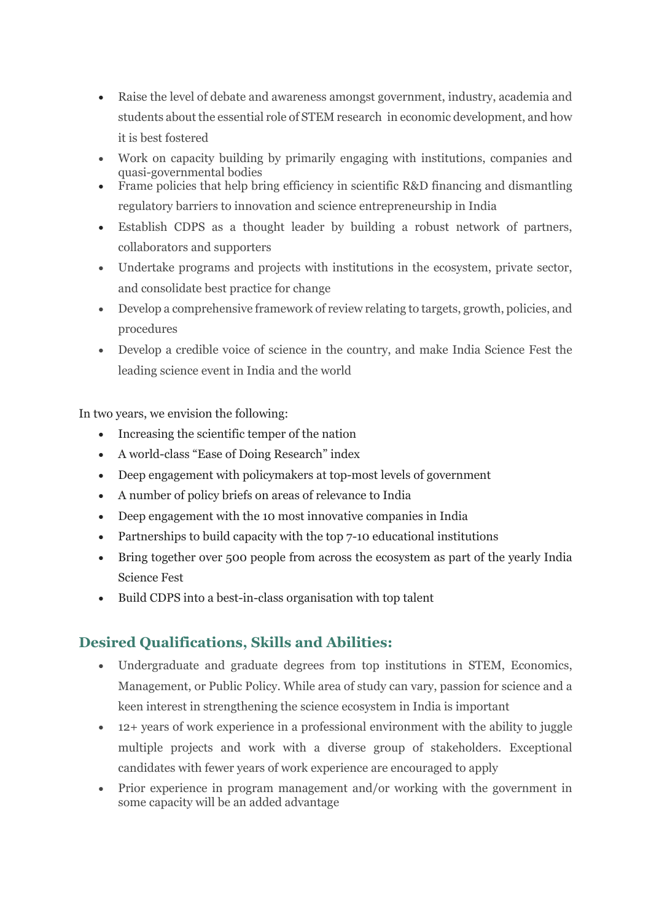- Raise the level of debate and awareness amongst government, industry, academia and students about the essential role of STEM research in economic development, and how it is best fostered
- Work on capacity building by primarily engaging with institutions, companies and quasi-governmental bodies
- Frame policies that help bring efficiency in scientific R&D financing and dismantling regulatory barriers to innovation and science entrepreneurship in India
- Establish CDPS as a thought leader by building a robust network of partners, collaborators and supporters
- Undertake programs and projects with institutions in the ecosystem, private sector, and consolidate best practice for change
- Develop a comprehensive framework of review relating to targets, growth, policies, and procedures
- Develop a credible voice of science in the country, and make India Science Fest the leading science event in India and the world

In two years, we envision the following:

- Increasing the scientific temper of the nation
- A world-class "Ease of Doing Research" index
- Deep engagement with policymakers at top-most levels of government
- A number of policy briefs on areas of relevance to India
- Deep engagement with the 10 most innovative companies in India
- Partnerships to build capacity with the top 7-10 educational institutions
- Bring together over 500 people from across the ecosystem as part of the yearly India Science Fest
- Build CDPS into a best-in-class organisation with top talent

## **Desired Qualifications, Skills and Abilities:**

- Undergraduate and graduate degrees from top institutions in STEM, Economics, Management, or Public Policy. While area of study can vary, passion for science and a keen interest in strengthening the science ecosystem in India is important
- 12+ years of work experience in a professional environment with the ability to juggle multiple projects and work with a diverse group of stakeholders. Exceptional candidates with fewer years of work experience are encouraged to apply
- Prior experience in program management and/or working with the government in some capacity will be an added advantage